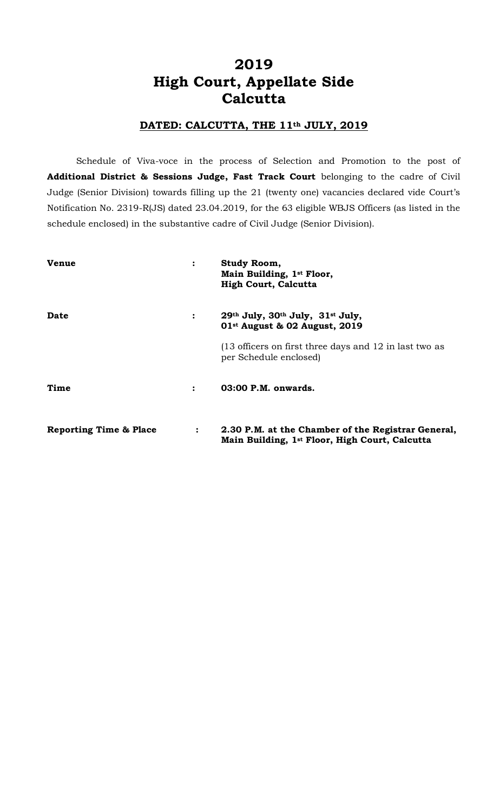# **2019 High Court, Appellate Side Calcutta**

### **DATED: CALCUTTA, THE 11th JULY, 2019**

Schedule of Viva-voce in the process of Selection and Promotion to the post of **Additional District & Sessions Judge, Fast Track Court** belonging to the cadre of Civil Judge (Senior Division) towards filling up the 21 (twenty one) vacancies declared vide Court's Notification No. 2319-R(JS) dated 23.04.2019, for the 63 eligible WBJS Officers (as listed in the schedule enclosed) in the substantive cadre of Civil Judge (Senior Division).

| <b>Venue</b>                      |                | Study Room,<br>Main Building, 1st Floor,<br><b>High Court, Calcutta</b>                              |
|-----------------------------------|----------------|------------------------------------------------------------------------------------------------------|
| Date                              | $\ddot{\cdot}$ | 29th July, 30th July, 31st July,<br>01 <sup>st</sup> August & 02 August, 2019                        |
|                                   |                | (13 officers on first three days and 12 in last two as<br>per Schedule enclosed)                     |
| Time                              | $\ddot{\cdot}$ | $03:00$ P.M. onwards.                                                                                |
| <b>Reporting Time &amp; Place</b> | $\ddot{\cdot}$ | 2.30 P.M. at the Chamber of the Registrar General,<br>Main Building, 1st Floor, High Court, Calcutta |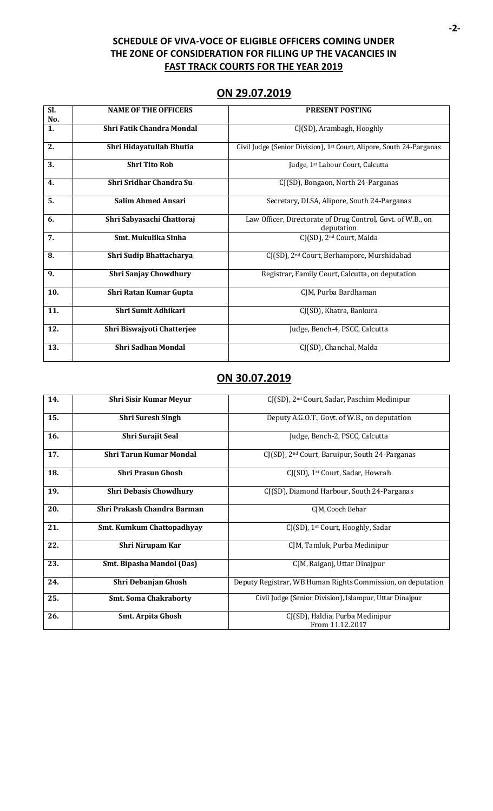### **SCHEDULE OF VIVA-VOCE OF ELIGIBLE OFFICERS COMING UNDER THE ZONE OF CONSIDERATION FOR FILLING UP THE VACANCIES IN FAST TRACK COURTS FOR THE YEAR 2019**

| Sl. | <b>NAME OF THE OFFICERS</b>      | <b>PRESENT POSTING</b>                                               |
|-----|----------------------------------|----------------------------------------------------------------------|
| No. |                                  |                                                                      |
|     |                                  |                                                                      |
| 1.  | <b>Shri Fatik Chandra Mondal</b> | CJ(SD), Arambagh, Hooghly                                            |
|     |                                  |                                                                      |
| 2.  | Shri Hidayatullah Bhutia         | Civil Judge (Senior Division), 1st Court, Alipore, South 24-Parganas |
|     |                                  |                                                                      |
|     |                                  |                                                                      |
| 3.  | <b>Shri Tito Rob</b>             | Judge, 1st Labour Court, Calcutta                                    |
|     |                                  |                                                                      |
|     |                                  |                                                                      |
| 4.  | Shri Sridhar Chandra Su          | CJ(SD), Bongaon, North 24-Parganas                                   |
|     |                                  |                                                                      |
| 5.  | <b>Salim Ahmed Ansari</b>        | Secretary, DLSA, Alipore, South 24-Parganas                          |
|     |                                  |                                                                      |
|     |                                  |                                                                      |
| 6.  | Shri Sabyasachi Chattoraj        | Law Officer, Directorate of Drug Control, Govt. of W.B., on          |
|     |                                  | deputation                                                           |
|     |                                  |                                                                      |
| 7.  | Smt. Mukulika Sinha              | CJ(SD), 2 <sup>nd</sup> Court, Malda                                 |
|     |                                  |                                                                      |
| 8.  | Shri Sudip Bhattacharya          | CJ(SD), 2 <sup>nd</sup> Court, Berhampore, Murshidabad               |
|     |                                  |                                                                      |
|     |                                  |                                                                      |
| 9.  | <b>Shri Sanjay Chowdhury</b>     | Registrar, Family Court, Calcutta, on deputation                     |
|     |                                  |                                                                      |
|     |                                  |                                                                      |
| 10. | Shri Ratan Kumar Gupta           | CJM, Purba Bardhaman                                                 |
|     |                                  |                                                                      |
| 11. | Shri Sumit Adhikari              |                                                                      |
|     |                                  | CJ(SD), Khatra, Bankura                                              |
|     |                                  |                                                                      |
| 12. | Shri Biswajyoti Chatterjee       | Judge, Bench-4, PSCC, Calcutta                                       |
|     |                                  |                                                                      |
|     |                                  |                                                                      |
| 13. | <b>Shri Sadhan Mondal</b>        | CJ(SD), Chanchal, Malda                                              |
|     |                                  |                                                                      |

## **ON 30.07.2019**

| 14. | <b>Shri Sisir Kumar Meyur</b>    | CJ(SD), 2 <sup>nd</sup> Court, Sadar, Paschim Medinipur     |
|-----|----------------------------------|-------------------------------------------------------------|
| 15. | <b>Shri Suresh Singh</b>         | Deputy A.G.O.T., Govt. of W.B., on deputation               |
| 16. | Shri Surajit Seal                | Judge, Bench-2, PSCC, Calcutta                              |
| 17. | <b>Shri Tarun Kumar Mondal</b>   | CJ(SD), 2 <sup>nd</sup> Court, Baruipur, South 24-Parganas  |
| 18. | <b>Shri Prasun Ghosh</b>         | CJ(SD), 1 <sup>st</sup> Court, Sadar, Howrah                |
| 19. | <b>Shri Debasis Chowdhury</b>    | CJ(SD), Diamond Harbour, South 24-Parganas                  |
| 20. | Shri Prakash Chandra Barman      | CJM, Cooch Behar                                            |
| 21. | <b>Smt. Kumkum Chattopadhyay</b> | CJ(SD), 1 <sup>st</sup> Court, Hooghly, Sadar               |
| 22. | Shri Nirupam Kar                 | CJM, Tamluk, Purba Medinipur                                |
| 23. | <b>Smt. Bipasha Mandol (Das)</b> | CJM, Raiganj, Uttar Dinajpur                                |
| 24. | Shri Debanjan Ghosh              | Deputy Registrar, WB Human Rights Commission, on deputation |
| 25. | <b>Smt. Soma Chakraborty</b>     | Civil Judge (Senior Division), Islampur, Uttar Dinajpur     |
| 26. | <b>Smt. Arpita Ghosh</b>         | CJ(SD), Haldia, Purba Medinipur<br>From 11.12.2017          |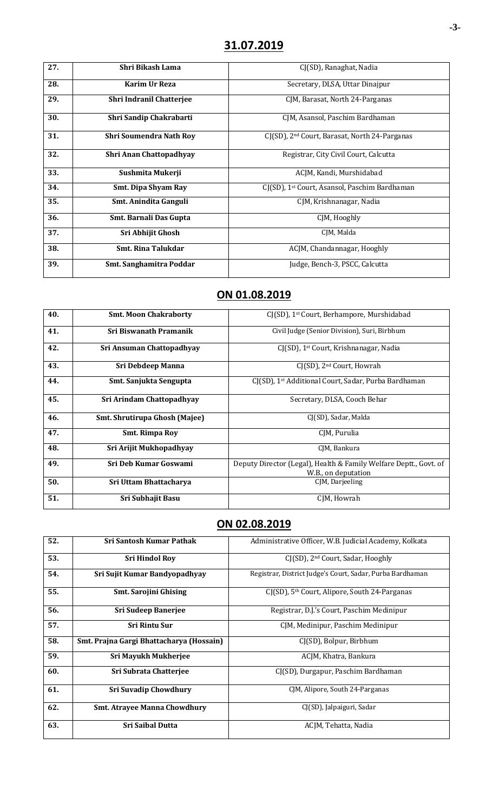| 27. | Shri Bikash Lama               | CJ(SD), Ranaghat, Nadia                                   |
|-----|--------------------------------|-----------------------------------------------------------|
| 28. | Karim Ur Reza                  | Secretary, DLSA, Uttar Dinajpur                           |
| 29. | Shri Indranil Chatterjee       | CJM, Barasat, North 24-Parganas                           |
| 30. | Shri Sandip Chakrabarti        | CJM, Asansol, Paschim Bardhaman                           |
| 31. | <b>Shri Soumendra Nath Roy</b> | CJ(SD), 2 <sup>nd</sup> Court, Barasat, North 24-Parganas |
| 32. | Shri Anan Chattopadhyay        | Registrar, City Civil Court, Calcutta                     |
| 33. | Sushmita Mukerji               | ACJM, Kandi, Murshidabad                                  |
| 34. | <b>Smt. Dipa Shyam Ray</b>     | CJ(SD), 1 <sup>st</sup> Court, Asansol, Paschim Bardhaman |
| 35. | Smt. Anindita Ganguli          | CJM, Krishnanagar, Nadia                                  |
| 36. | Smt. Barnali Das Gupta         | CJM, Hooghly                                              |
| 37. | Sri Abhijit Ghosh              | CJM, Malda                                                |
| 38. | <b>Smt. Rina Talukdar</b>      | ACJM, Chandannagar, Hooghly                               |
| 39. | Smt. Sanghamitra Poddar        | Judge, Bench-3, PSCC, Calcutta                            |

# **ON 01.08.2019**

| 40. | <b>Smt. Moon Chakraborty</b>  | CJ(SD), 1 <sup>st</sup> Court, Berhampore, Murshidabad                                   |
|-----|-------------------------------|------------------------------------------------------------------------------------------|
| 41. | Sri Biswanath Pramanik        | Civil Judge (Senior Division), Suri, Birbhum                                             |
| 42. | Sri Ansuman Chattopadhyay     | CJ(SD), 1 <sup>st</sup> Court, Krishnanagar, Nadia                                       |
| 43. | <b>Sri Debdeep Manna</b>      | CJ(SD), 2 <sup>nd</sup> Court, Howrah                                                    |
| 44. | Smt. Sanjukta Sengupta        | CJ(SD), 1 <sup>st</sup> Additional Court, Sadar, Purba Bardhaman                         |
| 45. | Sri Arindam Chattopadhyay     | Secretary, DLSA, Cooch Behar                                                             |
| 46. | Smt. Shrutirupa Ghosh (Majee) | CJ(SD), Sadar, Malda                                                                     |
| 47. | <b>Smt. Rimpa Roy</b>         | CIM, Purulia                                                                             |
| 48. | Sri Arijit Mukhopadhyay       | CIM, Bankura                                                                             |
| 49. | <b>Sri Deb Kumar Goswami</b>  | Deputy Director (Legal), Health & Family Welfare Deptt., Govt. of<br>W.B., on deputation |
| 50. | Sri Uttam Bhattacharya        | CJM, Darjeeling                                                                          |
| 51. | Sri Subhajit Basu             | CIM, Howrah                                                                              |

# **ON 02.08.2019**

| 52. | <b>Sri Santosh Kumar Pathak</b>          | Administrative Officer, W.B. Judicial Academy, Kolkata       |
|-----|------------------------------------------|--------------------------------------------------------------|
| 53. | <b>Sri Hindol Rov</b>                    | CJ(SD), 2 <sup>nd</sup> Court, Sadar, Hooghly                |
| 54. | Sri Sujit Kumar Bandyopadhyay            | Registrar, District Judge's Court, Sadar, Purba Bardhaman    |
| 55. | <b>Smt. Sarojini Ghising</b>             | $CI(SD)$ , 5 <sup>th</sup> Court, Alipore, South 24-Parganas |
| 56. | <b>Sri Sudeep Banerjee</b>               | Registrar, D.J.'s Court, Paschim Medinipur                   |
| 57. | <b>Sri Rintu Sur</b>                     | CJM, Medinipur, Paschim Medinipur                            |
| 58. | Smt. Prajna Gargi Bhattacharya (Hossain) | CJ(SD), Bolpur, Birbhum                                      |
| 59. | Sri Mayukh Mukherjee                     | ACJM, Khatra, Bankura                                        |
| 60. | Sri Subrata Chatterjee                   | CJ(SD), Durgapur, Paschim Bardhaman                          |
| 61. | <b>Sri Suvadip Chowdhury</b>             | CJM, Alipore, South 24-Parganas                              |
| 62. | <b>Smt. Atrayee Manna Chowdhury</b>      | CJ(SD), Jalpaiguri, Sadar                                    |
| 63. | <b>Sri Saibal Dutta</b>                  | ACJM, Tehatta, Nadia                                         |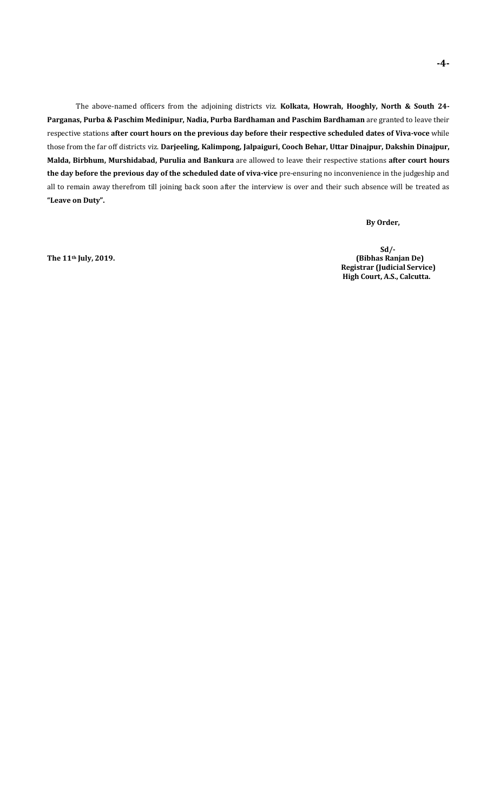The above-named officers from the adjoining districts viz. **Kolkata, Howrah, Hooghly, North & South 24- Parganas, Purba & Paschim Medinipur, Nadia, Purba Bardhaman and Paschim Bardhaman** are granted to leave their respective stations **after court hours on the previous day before their respective scheduled dates of Viva-voce** while those from the far off districts viz. **Darjeeling, Kalimpong, Jalpaiguri, Cooch Behar, Uttar Dinajpur, Dakshin Dinajpur, Malda, Birbhum, Murshidabad, Purulia and Bankura** are allowed to leave their respective stations **after court hours the day before the previous day of the scheduled date of viva-vice** pre-ensuring no inconvenience in the judgeship and all to remain away therefrom till joining back soon after the interview is over and their such absence will be treated as **"Leave on Duty".**

### **By Order,**

 **Sd/- The 11th July, 2019. (Bibhas Ranjan De) Registrar (Judicial Service) High Court, A.S., Calcutta.**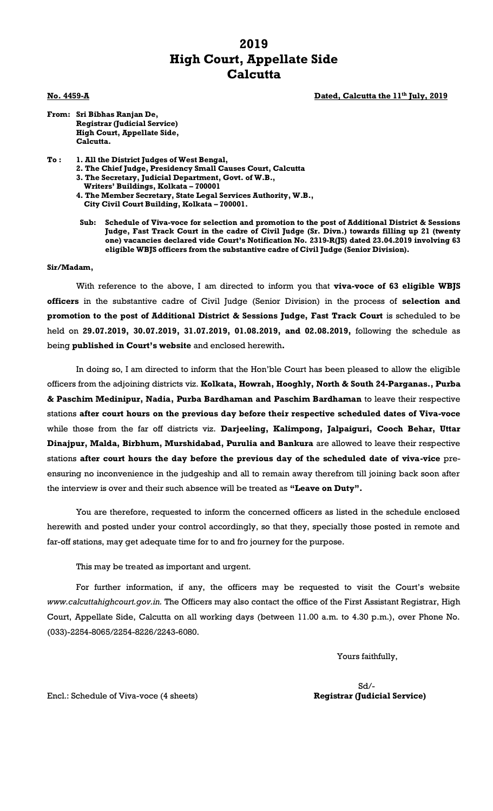## **2019 High Court, Appellate Side Calcutta**

**No. 4459-A Dated, Calcutta the 11th July, 2019**

**From: Sri Bibhas Ranjan De, Registrar (Judicial Service) High Court, Appellate Side,**

**Calcutta.**

- **To : 1. All the District Judges of West Bengal,**
	- **2. The Chief Judge, Presidency Small Causes Court, Calcutta**
	- **3. The Secretary, Judicial Department, Govt. of W.B.,**
	- **Writers' Buildings, Kolkata – 700001**
	- **4. The Member Secretary, State Legal Services Authority, W.B., City Civil Court Building, Kolkata – 700001.**
	- **Sub: Schedule of Viva-voce for selection and promotion to the post of Additional District & Sessions Judge, Fast Track Court in the cadre of Civil Judge (Sr. Divn.) towards filling up 21 (twenty one) vacancies declared vide Court's Notification No. 2319-R(JS) dated 23.04.2019 involving 63 eligible WBJS officers from the substantive cadre of Civil Judge (Senior Division).**

#### **Sir/Madam,**

With reference to the above, I am directed to inform you that **viva-voce of 63 eligible WBJS officers** in the substantive cadre of Civil Judge (Senior Division) in the process of **selection and promotion to the post of Additional District & Sessions Judge, Fast Track Court** is scheduled to be held on **29.07.2019, 30.07.2019, 31.07.2019, 01.08.2019, and 02.08.2019,** following the schedule as being **published in Court's website** and enclosed herewith**.**

In doing so, I am directed to inform that the Hon'ble Court has been pleased to allow the eligible officers from the adjoining districts viz. **Kolkata, Howrah, Hooghly, North & South 24-Parganas., Purba & Paschim Medinipur, Nadia, Purba Bardhaman and Paschim Bardhaman** to leave their respective stations **after court hours on the previous day before their respective scheduled dates of Viva-voce**  while those from the far off districts viz. **Darjeeling, Kalimpong, Jalpaiguri, Cooch Behar, Uttar Dinajpur, Malda, Birbhum, Murshidabad, Purulia and Bankura** are allowed to leave their respective stations **after court hours the day before the previous day of the scheduled date of viva-vice** preensuring no inconvenience in the judgeship and all to remain away therefrom till joining back soon after the interview is over and their such absence will be treated as **"Leave on Duty".**

You are therefore, requested to inform the concerned officers as listed in the schedule enclosed herewith and posted under your control accordingly, so that they, specially those posted in remote and far-off stations, may get adequate time for to and fro journey for the purpose.

This may be treated as important and urgent.

For further information, if any, the officers may be requested to visit the Court's website *www.calcuttahighcourt.gov.in.* The Officers may also contact the office of the First Assistant Registrar, High Court, Appellate Side, Calcutta on all working days (between 11.00 a.m. to 4.30 p.m.), over Phone No. (033)-2254-8065/2254-8226/2243-6080.

Yours faithfully,

Sd/-

Encl.: Schedule of Viva-voce (4 sheets) **Registrar (Judicial Service)**